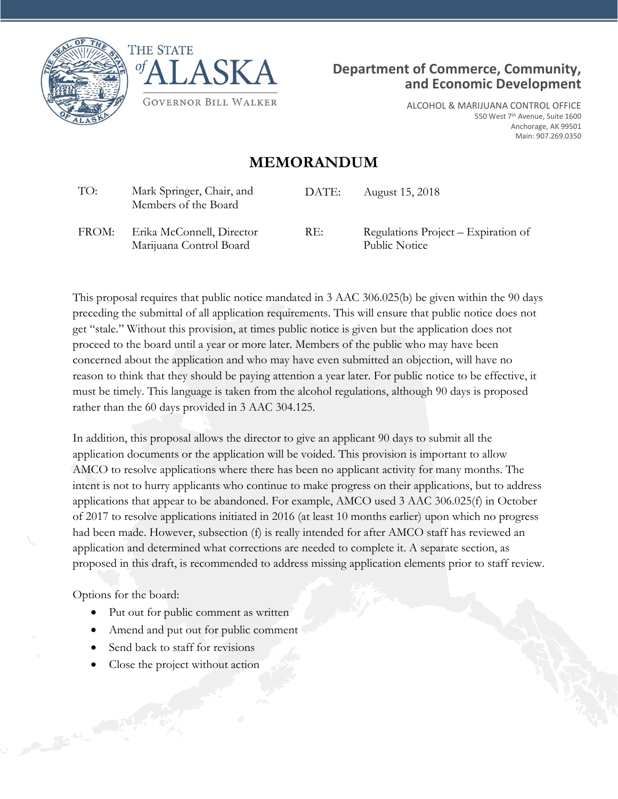



Marijuana Control Board



ALCOHOL & MARIJUANA CONTROL OFFICE 550 West 7<sup>th</sup> Avenue, Suite 1600 Anchorage, AK 99501 Main: 907.269.0350

## **MEMORANDUM**

| TO:   | Mark Springer, Chair, and<br>Members of the Board    | DATE: | August 15, 2018                                      |
|-------|------------------------------------------------------|-------|------------------------------------------------------|
| FROM: | Erika McConnell, Director<br>Marijuana Control Board | RE:   | Regulations Project – Expiration of<br>Public Notice |

This proposal requires that public notice mandated in 3 AAC 306.025(b) be given within the 90 days preceding the submittal of all application requirements. This will ensure that public notice does not get "stale." Without this provision, at times public notice is given but the application does not proceed to the board until a year or more later. Members of the public who may have been concerned about the application and who may have even submitted an objection, will have no reason to think that they should be paying attention a year later. For public notice to be effective, it must be timely. This language is taken from the alcohol regulations, although 90 days is proposed rather than the 60 days provided in 3 AAC 304.125.

In addition, this proposal allows the director to give an applicant 90 days to submit all the application documents or the application will be voided. This provision is important to allow AMCO to resolve applications where there has been no applicant activity for many months. The intent is not to hurry applicants who continue to make progress on their applications, but to address applications that appear to be abandoned. For example, AMCO used 3 AAC 306.025(f) in October of 2017 to resolve applications initiated in 2016 (at least 10 months earlier) upon which no progress had been made. However, subsection (f) is really intended for after AMCO staff has reviewed an application and determined what corrections are needed to complete it. A separate section, as proposed in this draft, is recommended to address missing application elements prior to staff review.

Options for the board:

- Put out for public comment as written
- Amend and put out for public comment
- Send back to staff for revisions
- Close the project without action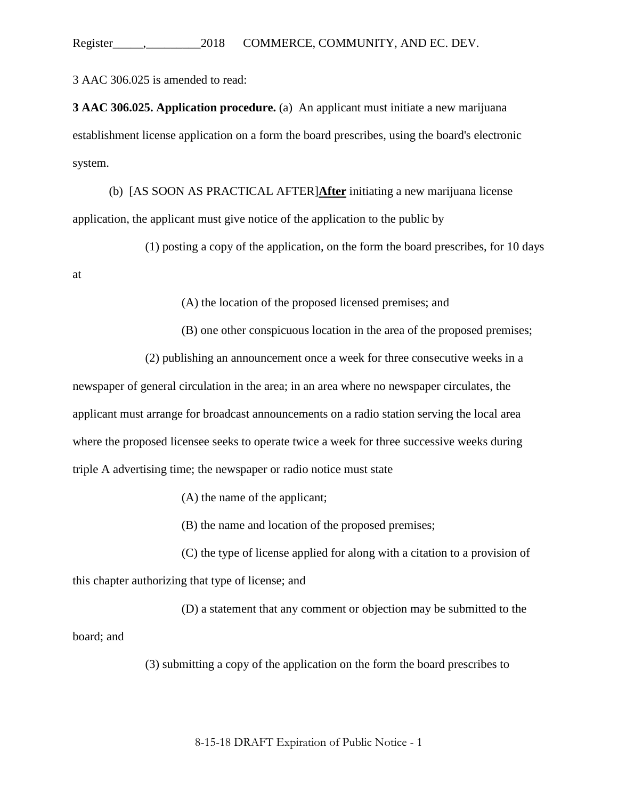Register\_\_\_\_\_,\_\_\_\_\_\_\_\_\_2018 COMMERCE, COMMUNITY, AND EC. DEV.

3 AAC 306.025 is amended to read:

**3 AAC 306.025. Application procedure.** (a) An applicant must initiate a new marijuana establishment license application on a form the board prescribes, using the board's electronic system.

(b) [AS SOON AS PRACTICAL AFTER]**After** initiating a new marijuana license application, the applicant must give notice of the application to the public by

(1) posting a copy of the application, on the form the board prescribes, for 10 days

at

(A) the location of the proposed licensed premises; and

(B) one other conspicuous location in the area of the proposed premises;

(2) publishing an announcement once a week for three consecutive weeks in a

newspaper of general circulation in the area; in an area where no newspaper circulates, the applicant must arrange for broadcast announcements on a radio station serving the local area where the proposed licensee seeks to operate twice a week for three successive weeks during triple A advertising time; the newspaper or radio notice must state

(A) the name of the applicant;

(B) the name and location of the proposed premises;

(C) the type of license applied for along with a citation to a provision of this chapter authorizing that type of license; and

(D) a statement that any comment or objection may be submitted to the board; and

(3) submitting a copy of the application on the form the board prescribes to

8-15-18 DRAFT Expiration of Public Notice - 1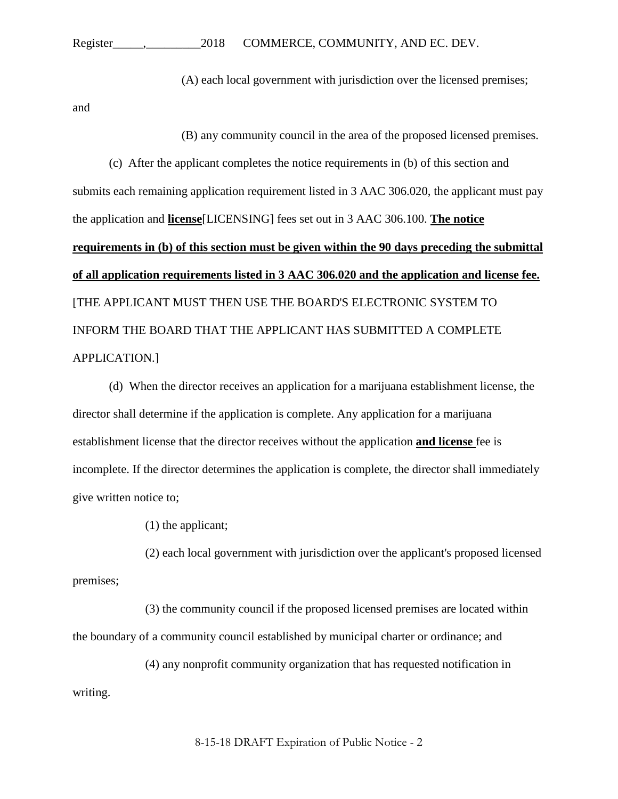(A) each local government with jurisdiction over the licensed premises;

and

(B) any community council in the area of the proposed licensed premises.

(c) After the applicant completes the notice requirements in (b) of this section and submits each remaining application requirement listed in 3 AAC 306.020, the applicant must pay the application and **license**[LICENSING] fees set out in 3 AAC 306.100. **The notice requirements in (b) of this section must be given within the 90 days preceding the submittal of all application requirements listed in 3 AAC 306.020 and the application and license fee.** [THE APPLICANT MUST THEN USE THE BOARD'S ELECTRONIC SYSTEM TO INFORM THE BOARD THAT THE APPLICANT HAS SUBMITTED A COMPLETE APPLICATION.]

(d) When the director receives an application for a marijuana establishment license, the director shall determine if the application is complete. Any application for a marijuana establishment license that the director receives without the application **and license** fee is incomplete. If the director determines the application is complete, the director shall immediately give written notice to;

(1) the applicant;

(2) each local government with jurisdiction over the applicant's proposed licensed premises;

(3) the community council if the proposed licensed premises are located within the boundary of a community council established by municipal charter or ordinance; and

(4) any nonprofit community organization that has requested notification in writing.